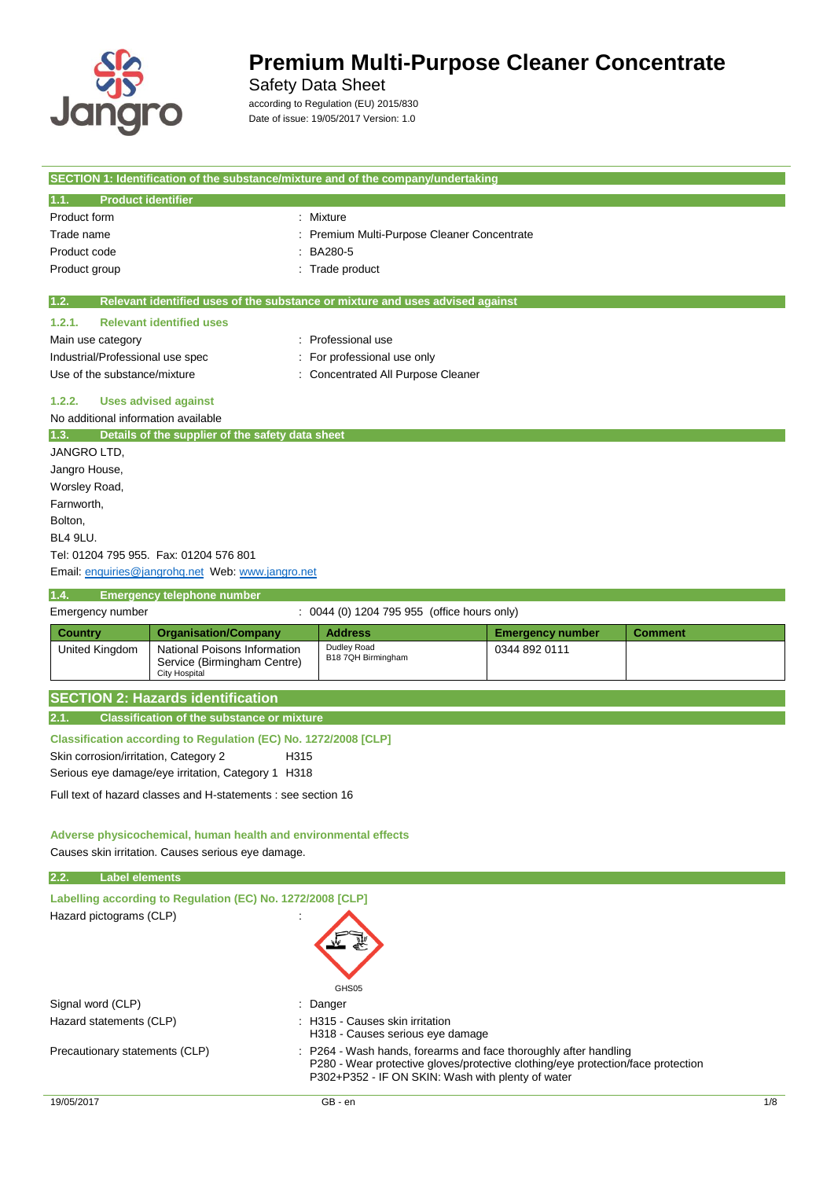

 $\sim$ 

# **Premium Multi-Purpose Cleaner Concentrate**

Safety Data Sheet

according to Regulation (EU) 2015/830 Date of issue: 19/05/2017 Version: 1.0

|                                              |                                                                                     | SECTION 1: Identification of the substance/mixture and of the company/undertaking |                         |                |
|----------------------------------------------|-------------------------------------------------------------------------------------|-----------------------------------------------------------------------------------|-------------------------|----------------|
| 1.1.<br><b>Product identifier</b>            |                                                                                     |                                                                                   |                         |                |
| Product form                                 |                                                                                     | : Mixture                                                                         |                         |                |
| Trade name                                   |                                                                                     | Premium Multi-Purpose Cleaner Concentrate                                         |                         |                |
| Product code                                 |                                                                                     | BA280-5                                                                           |                         |                |
| Product group                                |                                                                                     | Trade product                                                                     |                         |                |
| 1.2.                                         |                                                                                     | Relevant identified uses of the substance or mixture and uses advised against     |                         |                |
| 1.2.1.                                       | <b>Relevant identified uses</b>                                                     |                                                                                   |                         |                |
| Main use category                            |                                                                                     | : Professional use                                                                |                         |                |
| Industrial/Professional use spec             |                                                                                     | For professional use only                                                         |                         |                |
| Use of the substance/mixture                 |                                                                                     | <b>Concentrated All Purpose Cleaner</b>                                           |                         |                |
| 1.2.2.                                       | <b>Uses advised against</b>                                                         |                                                                                   |                         |                |
| No additional information available          |                                                                                     |                                                                                   |                         |                |
| 1.3.                                         | Details of the supplier of the safety data sheet                                    |                                                                                   |                         |                |
| JANGRO LTD,                                  |                                                                                     |                                                                                   |                         |                |
| Jangro House,                                |                                                                                     |                                                                                   |                         |                |
| Worsley Road,                                |                                                                                     |                                                                                   |                         |                |
| Farnworth,                                   |                                                                                     |                                                                                   |                         |                |
| Bolton,                                      |                                                                                     |                                                                                   |                         |                |
| BL4 9LU.                                     |                                                                                     |                                                                                   |                         |                |
|                                              | Tel: 01204 795 955. Fax: 01204 576 801                                              |                                                                                   |                         |                |
|                                              | Email: enquiries@jangrohq.net Web: www.jangro.net                                   |                                                                                   |                         |                |
| 1.4.                                         | <b>Emergency telephone number</b>                                                   |                                                                                   |                         |                |
| Emergency number                             |                                                                                     | : 0044 (0) 1204 795 955 (office hours only)                                       |                         |                |
| <b>Country</b>                               | <b>Organisation/Company</b>                                                         | <b>Address</b>                                                                    | <b>Emergency number</b> | <b>Comment</b> |
| United Kingdom                               | National Poisons Information<br>Service (Birmingham Centre)<br><b>City Hospital</b> | Dudley Road<br>B18 7QH Birmingham                                                 | 0344 892 0111           |                |
|                                              | <b>SECTION 2: Hazards identification</b>                                            |                                                                                   |                         |                |
| 2.1.                                         | <b>Classification of the substance or mixture</b>                                   |                                                                                   |                         |                |
|                                              | Classification according to Regulation (EC) No. 1272/2008 [CLP]                     |                                                                                   |                         |                |
| Skin corrosion/irritation, Category 2        | H <sub>315</sub>                                                                    |                                                                                   |                         |                |
|                                              | Serious eye damage/eye irritation, Category 1 H318                                  |                                                                                   |                         |                |
|                                              | Full text of hazard classes and H-statements : see section 16                       |                                                                                   |                         |                |
|                                              |                                                                                     |                                                                                   |                         |                |
|                                              | Adverse physicochemical, human health and environmental effects                     |                                                                                   |                         |                |
|                                              | Causes skin irritation. Causes serious eye damage.                                  |                                                                                   |                         |                |
| 2.2.<br><b>Label elements</b>                |                                                                                     |                                                                                   |                         |                |
|                                              | Labelling according to Regulation (EC) No. 1272/2008 [CLP]                          |                                                                                   |                         |                |
| Hazard pictograms (CLP)                      |                                                                                     |                                                                                   |                         |                |
|                                              |                                                                                     |                                                                                   |                         |                |
|                                              |                                                                                     | GHS05                                                                             |                         |                |
| Signal word (CLP)<br>Hazard statements (CLP) |                                                                                     | Danger<br>: H315 - Causes skin irritation<br>H318 - Causes serious eye damage     |                         |                |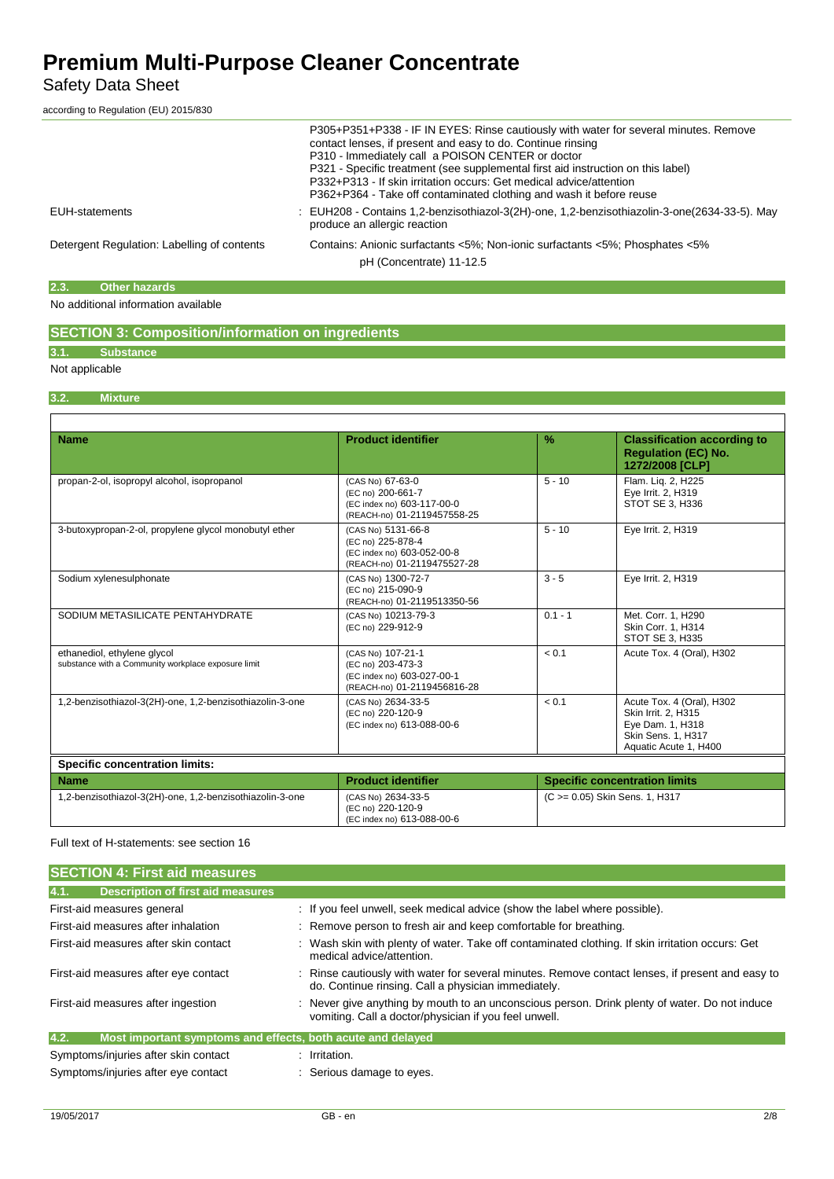## Safety Data Sheet

according to Regulation (EU) 2015/830

|                                             | P305+P351+P338 - IF IN EYES: Rinse cautiously with water for several minutes. Remove<br>contact lenses, if present and easy to do. Continue rinsing<br>P310 - Immediately call a POISON CENTER or doctor<br>P321 - Specific treatment (see supplemental first aid instruction on this label)<br>P332+P313 - If skin irritation occurs: Get medical advice/attention<br>P362+P364 - Take off contaminated clothing and wash it before reuse |
|---------------------------------------------|--------------------------------------------------------------------------------------------------------------------------------------------------------------------------------------------------------------------------------------------------------------------------------------------------------------------------------------------------------------------------------------------------------------------------------------------|
| EUH-statements                              | : EUH208 - Contains 1,2-benzisothiazol-3(2H)-one, 1,2-benzisothiazolin-3-one(2634-33-5). May<br>produce an allergic reaction                                                                                                                                                                                                                                                                                                               |
| Detergent Regulation: Labelling of contents | Contains: Anionic surfactants <5%; Non-ionic surfactants <5%; Phosphates <5%<br>pH (Concentrate) 11-12.5                                                                                                                                                                                                                                                                                                                                   |

### **2.3. Other hazards**

### No additional information available

### **SECTION 3: Composition/information on ingredients**

## **3.1. Substance**

### Not applicable

### **3.2. Mixture**

| <b>Name</b>                                                                        | <b>Product identifier</b>                                                                            | $\frac{9}{6}$ | <b>Classification according to</b><br><b>Regulation (EC) No.</b><br>1272/2008 [CLP]                                 |
|------------------------------------------------------------------------------------|------------------------------------------------------------------------------------------------------|---------------|---------------------------------------------------------------------------------------------------------------------|
| propan-2-ol, isopropyl alcohol, isopropanol                                        | (CAS No) 67-63-0<br>(EC no) 200-661-7<br>(EC index no) 603-117-00-0<br>(REACH-no) 01-2119457558-25   | $5 - 10$      | Flam. Lig. 2, H225<br>Eye Irrit. 2, H319<br><b>STOT SE 3. H336</b>                                                  |
| 3-butoxypropan-2-ol, propylene glycol monobutyl ether                              | (CAS No) 5131-66-8<br>(EC no) 225-878-4<br>(EC index no) 603-052-00-8<br>(REACH-no) 01-2119475527-28 | $5 - 10$      | Eye Irrit. 2, H319                                                                                                  |
| Sodium xylenesulphonate                                                            | (CAS No) 1300-72-7<br>(EC no) 215-090-9<br>(REACH-no) 01-2119513350-56                               | $3 - 5$       | Eye Irrit. 2, H319                                                                                                  |
| SODIUM METASILICATE PENTAHYDRATE                                                   | (CAS No) 10213-79-3<br>(EC no) 229-912-9                                                             | $0.1 - 1$     | Met. Corr. 1, H290<br>Skin Corr. 1, H314<br>STOT SE 3, H335                                                         |
| ethanediol, ethylene glycol<br>substance with a Community workplace exposure limit | (CAS No) 107-21-1<br>(EC no) 203-473-3<br>(EC index no) 603-027-00-1<br>(REACH-no) 01-2119456816-28  | < 0.1         | Acute Tox. 4 (Oral), H302                                                                                           |
| 1,2-benzisothiazol-3(2H)-one, 1,2-benzisothiazolin-3-one                           | (CAS No) 2634-33-5<br>(EC no) 220-120-9<br>(EC index no) 613-088-00-6                                | < 0.1         | Acute Tox. 4 (Oral), H302<br>Skin Irrit. 2, H315<br>Eye Dam. 1, H318<br>Skin Sens. 1, H317<br>Aquatic Acute 1, H400 |
| <b>Specific concentration limits:</b>                                              |                                                                                                      |               |                                                                                                                     |
| <b>Name</b>                                                                        | <b>Product identifier</b>                                                                            |               | <b>Specific concentration limits</b>                                                                                |
| 1,2-benzisothiazol-3(2H)-one, 1,2-benzisothiazolin-3-one                           | (CAS No) 2634-33-5<br>(EC no) 220-120-9<br>(EC index no) 613-088-00-6                                |               | (C >= 0.05) Skin Sens. 1, H317                                                                                      |

#### Full text of H-statements: see section 16

| <b>SECTION 4: First aid measures</b>                                |                                                                                                                                                        |
|---------------------------------------------------------------------|--------------------------------------------------------------------------------------------------------------------------------------------------------|
| 4.1.<br><b>Description of first aid measures</b>                    |                                                                                                                                                        |
| First-aid measures general                                          | : If you feel unwell, seek medical advice (show the label where possible).                                                                             |
| First-aid measures after inhalation                                 | : Remove person to fresh air and keep comfortable for breathing.                                                                                       |
| First-aid measures after skin contact                               | : Wash skin with plenty of water. Take off contaminated clothing. If skin irritation occurs: Get<br>medical advice/attention.                          |
| First-aid measures after eye contact                                | Rinse cautiously with water for several minutes. Remove contact lenses, if present and easy to<br>do. Continue rinsing. Call a physician immediately.  |
| First-aid measures after ingestion                                  | : Never give anything by mouth to an unconscious person. Drink plenty of water. Do not induce<br>vomiting. Call a doctor/physician if you feel unwell. |
| 4.2.<br>Most important symptoms and effects, both acute and delayed |                                                                                                                                                        |
| Symptoms/injuries after skin contact                                | : Irritation.                                                                                                                                          |
| Symptoms/injuries after eye contact                                 | : Serious damage to eyes.                                                                                                                              |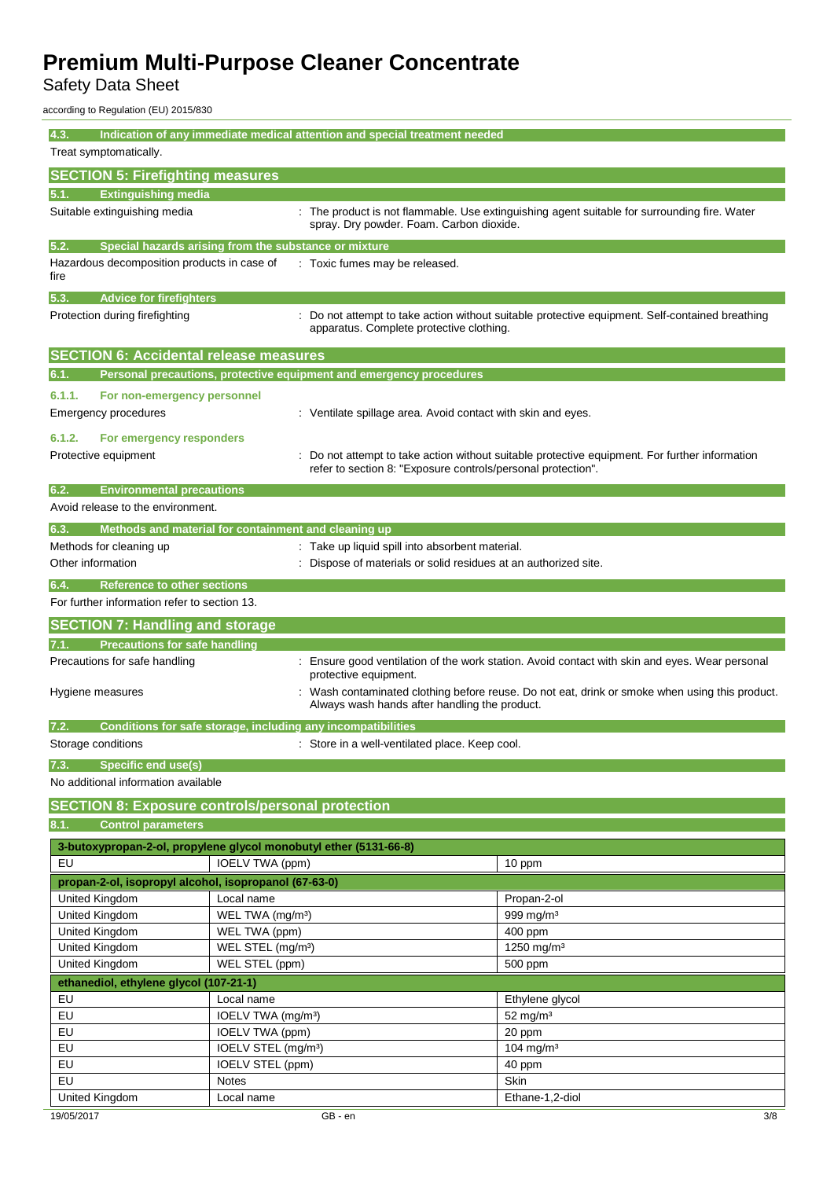Safety Data Sheet

according to Regulation (EU) 2015/830

| 4.3.                                                                                       |                                                               | Indication of any immediate medical attention and special treatment needed |                                                                                                 |
|--------------------------------------------------------------------------------------------|---------------------------------------------------------------|----------------------------------------------------------------------------|-------------------------------------------------------------------------------------------------|
| Treat symptomatically.                                                                     |                                                               |                                                                            |                                                                                                 |
| <b>SECTION 5: Firefighting measures</b>                                                    |                                                               |                                                                            |                                                                                                 |
| 5.1.<br><b>Extinguishing media</b>                                                         |                                                               |                                                                            |                                                                                                 |
| Suitable extinguishing media                                                               |                                                               | spray. Dry powder. Foam. Carbon dioxide.                                   | : The product is not flammable. Use extinguishing agent suitable for surrounding fire. Water    |
| 5.2.                                                                                       | Special hazards arising from the substance or mixture         |                                                                            |                                                                                                 |
| Hazardous decomposition products in case of<br>fire                                        |                                                               | : Toxic fumes may be released.                                             |                                                                                                 |
| 5.3.<br><b>Advice for firefighters</b>                                                     |                                                               |                                                                            |                                                                                                 |
| Protection during firefighting                                                             |                                                               | apparatus. Complete protective clothing.                                   | : Do not attempt to take action without suitable protective equipment. Self-contained breathing |
| <b>SECTION 6: Accidental release measures</b>                                              |                                                               |                                                                            |                                                                                                 |
| 6.1.                                                                                       |                                                               | Personal precautions, protective equipment and emergency procedures        |                                                                                                 |
| 6.1.1.<br>For non-emergency personnel                                                      |                                                               |                                                                            |                                                                                                 |
| Emergency procedures                                                                       |                                                               | : Ventilate spillage area. Avoid contact with skin and eyes.               |                                                                                                 |
| 6.1.2.<br>For emergency responders                                                         |                                                               |                                                                            |                                                                                                 |
| Protective equipment                                                                       |                                                               | refer to section 8: "Exposure controls/personal protection".               | Do not attempt to take action without suitable protective equipment. For further information    |
| 6.2.<br><b>Environmental precautions</b>                                                   |                                                               |                                                                            |                                                                                                 |
| Avoid release to the environment.                                                          |                                                               |                                                                            |                                                                                                 |
| 6.3.                                                                                       | Methods and material for containment and cleaning up          |                                                                            |                                                                                                 |
| Methods for cleaning up                                                                    |                                                               | : Take up liquid spill into absorbent material.                            |                                                                                                 |
| Other information                                                                          | Dispose of materials or solid residues at an authorized site. |                                                                            |                                                                                                 |
| 6.4.<br><b>Reference to other sections</b><br>For further information refer to section 13. |                                                               |                                                                            |                                                                                                 |
|                                                                                            |                                                               |                                                                            |                                                                                                 |
| <b>SECTION 7: Handling and storage</b>                                                     |                                                               |                                                                            |                                                                                                 |
| <b>Precautions for safe handling</b><br>7.1.                                               |                                                               |                                                                            |                                                                                                 |
| Precautions for safe handling                                                              |                                                               | protective equipment.                                                      | : Ensure good ventilation of the work station. Avoid contact with skin and eyes. Wear personal  |
| Hygiene measures                                                                           |                                                               | Always wash hands after handling the product.                              | Wash contaminated clothing before reuse. Do not eat, drink or smoke when using this product.    |
| 7.2.                                                                                       | Conditions for safe storage, including any incompatibilities  |                                                                            |                                                                                                 |
| Storage conditions                                                                         |                                                               | Store in a well-ventilated place. Keep cool.                               |                                                                                                 |
| <b>Specific end use(s)</b><br>7.3.                                                         |                                                               |                                                                            |                                                                                                 |
| No additional information available                                                        |                                                               |                                                                            |                                                                                                 |
| <b>SECTION 8: Exposure controls/personal protection</b>                                    |                                                               |                                                                            |                                                                                                 |
| <b>Control parameters</b><br>8.1.                                                          |                                                               |                                                                            |                                                                                                 |
| 3-butoxypropan-2-ol, propylene glycol monobutyl ether (5131-66-8)                          |                                                               |                                                                            |                                                                                                 |
| EU                                                                                         | <b>IOELV TWA (ppm)</b>                                        |                                                                            | 10 ppm                                                                                          |
| propan-2-ol, isopropyl alcohol, isopropanol (67-63-0)                                      |                                                               |                                                                            |                                                                                                 |
| United Kingdom                                                                             | Local name                                                    |                                                                            | Propan-2-ol                                                                                     |
| United Kingdom                                                                             | WEL TWA (mg/m <sup>3</sup> )                                  |                                                                            | 999 mg/m <sup>3</sup>                                                                           |
| United Kingdom                                                                             | WEL TWA (ppm)                                                 |                                                                            | 400 ppm                                                                                         |
| United Kingdom                                                                             | WEL STEL (mg/m <sup>3</sup> )                                 |                                                                            | 1250 mg/m <sup>3</sup>                                                                          |
| United Kingdom                                                                             | WEL STEL (ppm)                                                |                                                                            | 500 ppm                                                                                         |
| ethanediol, ethylene glycol (107-21-1)                                                     |                                                               |                                                                            |                                                                                                 |
| EU                                                                                         | Local name                                                    |                                                                            | Ethylene glycol                                                                                 |
| EU                                                                                         | IOELV TWA (mg/m <sup>3</sup> )                                |                                                                            | $52$ mg/m <sup>3</sup>                                                                          |
| EU                                                                                         | IOELV TWA (ppm)                                               |                                                                            | 20 ppm                                                                                          |
| EU                                                                                         | IOELV STEL (mg/m <sup>3</sup> )                               |                                                                            | 104 mg/m <sup>3</sup>                                                                           |
| EU                                                                                         | IOELV STEL (ppm)                                              |                                                                            | 40 ppm                                                                                          |
| EU                                                                                         | <b>Notes</b>                                                  |                                                                            | Skin                                                                                            |
| United Kingdom                                                                             | Local name                                                    |                                                                            | Ethane-1,2-diol                                                                                 |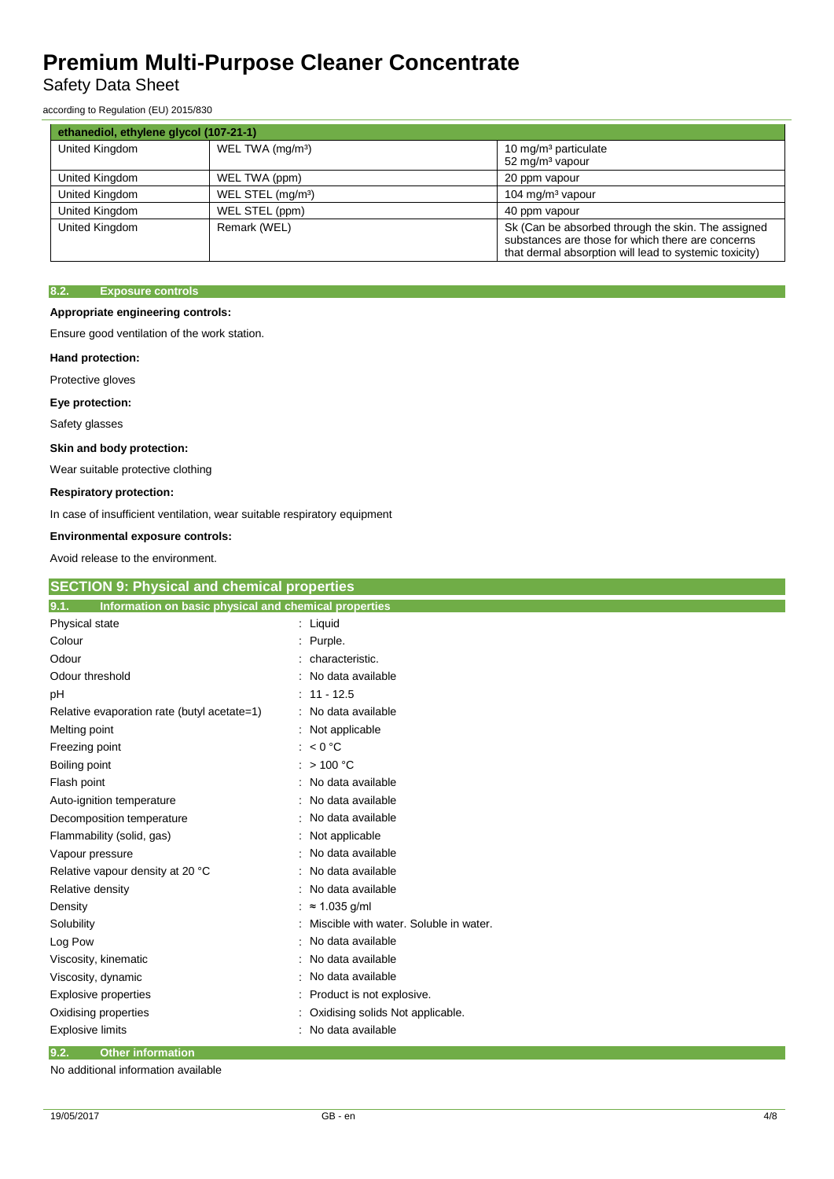## Safety Data Sheet

according to Regulation (EU) 2015/830

| ethanediol, ethylene glycol (107-21-1) |                               |                                                                                                                                                                   |  |
|----------------------------------------|-------------------------------|-------------------------------------------------------------------------------------------------------------------------------------------------------------------|--|
| United Kingdom                         | WEL TWA (mg/m <sup>3</sup> )  | 10 mg/m <sup>3</sup> particulate<br>52 mg/m <sup>3</sup> vapour                                                                                                   |  |
| United Kingdom                         | WEL TWA (ppm)                 | 20 ppm vapour                                                                                                                                                     |  |
| United Kingdom                         | WEL STEL (mg/m <sup>3</sup> ) | 104 mg/m <sup>3</sup> vapour                                                                                                                                      |  |
| United Kingdom                         | WEL STEL (ppm)                | 40 ppm vapour                                                                                                                                                     |  |
| United Kingdom                         | Remark (WEL)                  | Sk (Can be absorbed through the skin. The assigned<br>substances are those for which there are concerns<br>that dermal absorption will lead to systemic toxicity) |  |

#### **8.2. Exposure controls**

#### **Appropriate engineering controls:**

Ensure good ventilation of the work station.

#### **Hand protection:**

Protective gloves

#### **Eye protection:**

Safety glasses

#### **Skin and body protection:**

Wear suitable protective clothing

#### **Respiratory protection:**

In case of insufficient ventilation, wear suitable respiratory equipment

### **Environmental exposure controls:**

Avoid release to the environment.

| <b>SECTION 9: Physical and chemical properties</b>            |                                        |
|---------------------------------------------------------------|----------------------------------------|
| 9.1.<br>Information on basic physical and chemical properties |                                        |
| Physical state                                                | : Liquid                               |
| Colour                                                        | Purple.                                |
| Odour                                                         | characteristic.                        |
| Odour threshold                                               | No data available                      |
| pH                                                            | $11 - 12.5$                            |
| Relative evaporation rate (butyl acetate=1)                   | No data available                      |
| Melting point                                                 | Not applicable<br>÷                    |
| Freezing point                                                | < 0 °C                                 |
| Boiling point                                                 | >100 °C                                |
| Flash point                                                   | No data available                      |
| Auto-ignition temperature                                     | No data available                      |
| Decomposition temperature                                     | No data available                      |
| Flammability (solid, gas)                                     | Not applicable                         |
| Vapour pressure                                               | No data available                      |
| Relative vapour density at 20 °C                              | No data available                      |
| Relative density                                              | No data available                      |
| Density                                                       | $\approx$ 1.035 g/ml                   |
| Solubility                                                    | Miscible with water. Soluble in water. |
| Log Pow                                                       | No data available<br>t.                |
| Viscosity, kinematic                                          | No data available                      |
| Viscosity, dynamic                                            | No data available                      |
| <b>Explosive properties</b>                                   | Product is not explosive.              |
| Oxidising properties                                          | Oxidising solids Not applicable.       |
| <b>Explosive limits</b>                                       | No data available                      |
| 9.2.<br><b>Other information</b>                              |                                        |

No additional information available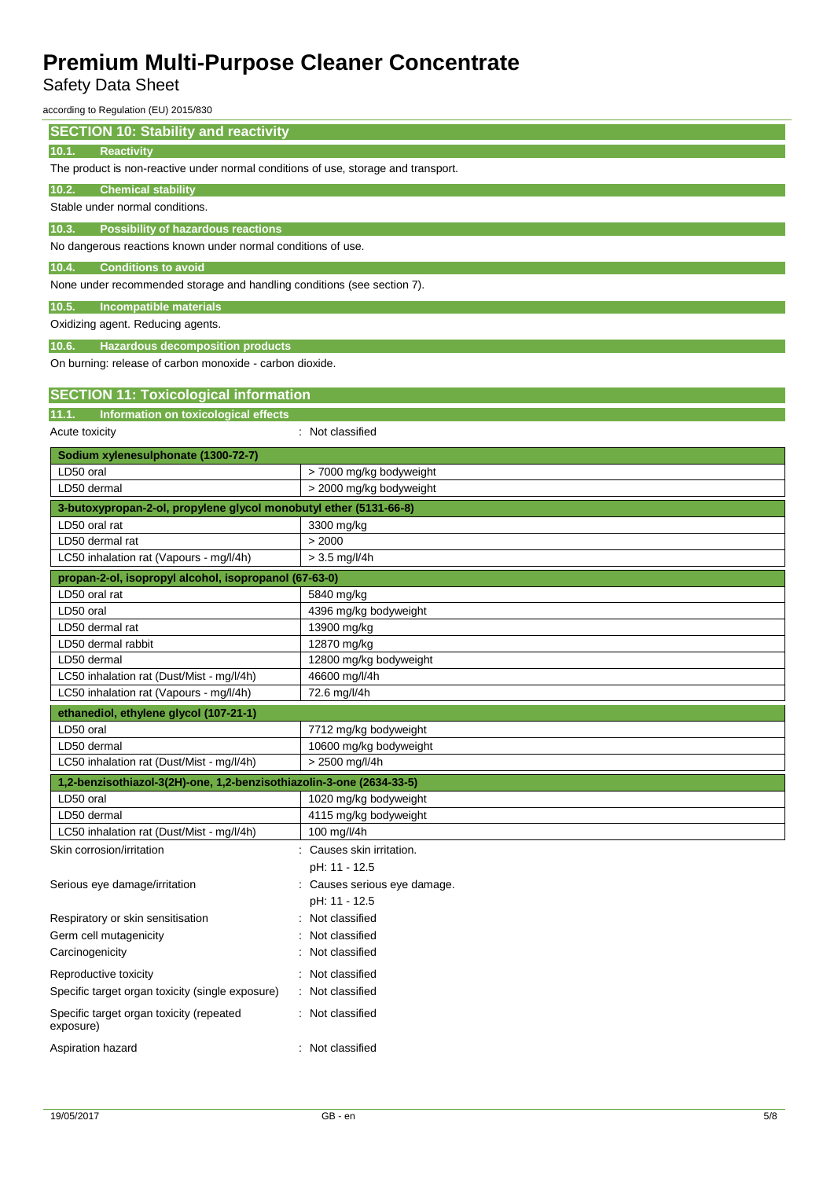## Safety Data Sheet

according to Regulation (EU) 2015/830

| <b>SECTION 10: Stability and reactivity</b>                                        |                                       |  |  |
|------------------------------------------------------------------------------------|---------------------------------------|--|--|
| <b>Reactivity</b><br>10.1.                                                         |                                       |  |  |
| The product is non-reactive under normal conditions of use, storage and transport. |                                       |  |  |
| <b>Chemical stability</b><br>10.2.                                                 |                                       |  |  |
| Stable under normal conditions.                                                    |                                       |  |  |
| <b>Possibility of hazardous reactions</b><br>10.3.                                 |                                       |  |  |
| No dangerous reactions known under normal conditions of use.                       |                                       |  |  |
|                                                                                    |                                       |  |  |
| 10.4.<br><b>Conditions to avoid</b>                                                |                                       |  |  |
| None under recommended storage and handling conditions (see section 7).            |                                       |  |  |
| Incompatible materials<br>10.5.                                                    |                                       |  |  |
| Oxidizing agent. Reducing agents.                                                  |                                       |  |  |
| 10.6.<br><b>Hazardous decomposition products</b>                                   |                                       |  |  |
| On burning: release of carbon monoxide - carbon dioxide.                           |                                       |  |  |
|                                                                                    |                                       |  |  |
| <b>SECTION 11: Toxicological information</b>                                       |                                       |  |  |
| Information on toxicological effects<br>11.1.                                      |                                       |  |  |
| Acute toxicity                                                                     | : Not classified                      |  |  |
| Sodium xylenesulphonate (1300-72-7)                                                |                                       |  |  |
| LD50 oral                                                                          | > 7000 mg/kg bodyweight               |  |  |
| LD50 dermal                                                                        | > 2000 mg/kg bodyweight               |  |  |
| 3-butoxypropan-2-ol, propylene glycol monobutyl ether (5131-66-8)                  |                                       |  |  |
| LD50 oral rat                                                                      | 3300 mg/kg                            |  |  |
| LD50 dermal rat                                                                    | > 2000                                |  |  |
| LC50 inhalation rat (Vapours - mg/l/4h)                                            | $> 3.5$ mg/l/4h                       |  |  |
| propan-2-ol, isopropyl alcohol, isopropanol (67-63-0)                              |                                       |  |  |
| LD50 oral rat                                                                      | 5840 mg/kg                            |  |  |
| LD50 oral                                                                          | 4396 mg/kg bodyweight                 |  |  |
| LD50 dermal rat                                                                    | 13900 mg/kg                           |  |  |
| LD50 dermal rabbit<br>LD50 dermal                                                  | 12870 mg/kg<br>12800 mg/kg bodyweight |  |  |
| LC50 inhalation rat (Dust/Mist - mg/l/4h)                                          | 46600 mg/l/4h                         |  |  |
| LC50 inhalation rat (Vapours - mg/l/4h)                                            | 72.6 mg/l/4h                          |  |  |
| ethanediol, ethylene glycol (107-21-1)                                             |                                       |  |  |
| LD50 oral                                                                          | 7712 mg/kg bodyweight                 |  |  |
| D50 dermal                                                                         | 10600 mg/kg bodyweight                |  |  |
| LC50 inhalation rat (Dust/Mist - mg/l/4h)                                          | > 2500 mg/l/4h                        |  |  |
| 1,2-benzisothiazol-3(2H)-one, 1,2-benzisothiazolin-3-one (2634-33-5)               |                                       |  |  |
| LD50 oral                                                                          | 1020 mg/kg bodyweight                 |  |  |
| LD50 dermal                                                                        | 4115 mg/kg bodyweight                 |  |  |
| LC50 inhalation rat (Dust/Mist - mg/l/4h)                                          | 100 mg/l/4h                           |  |  |
| Skin corrosion/irritation                                                          | : Causes skin irritation.             |  |  |
|                                                                                    | pH: 11 - 12.5                         |  |  |
| Serious eye damage/irritation                                                      | : Causes serious eye damage.          |  |  |
|                                                                                    | pH: 11 - 12.5                         |  |  |
| Respiratory or skin sensitisation                                                  | Not classified                        |  |  |
| Germ cell mutagenicity                                                             | Not classified                        |  |  |
| Carcinogenicity                                                                    | Not classified                        |  |  |
| Reproductive toxicity                                                              | Not classified                        |  |  |
| Specific target organ toxicity (single exposure)                                   | Not classified                        |  |  |
| Specific target organ toxicity (repeated<br>exposure)                              | : Not classified                      |  |  |
| Aspiration hazard                                                                  | : Not classified                      |  |  |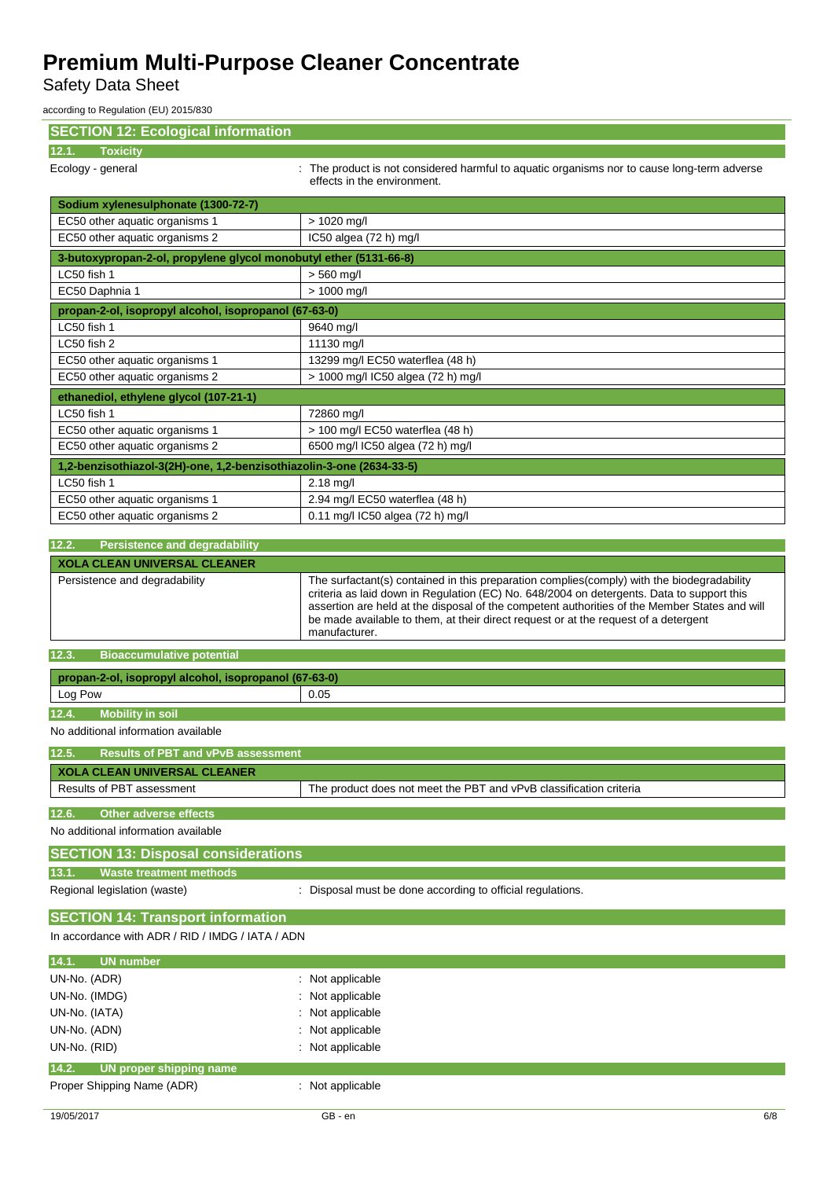Safety Data Sheet

according to Regulation (EU) 2015/830

| <b>SECTION 12: Ecological information</b>                            |                                                                                                                                                                                                       |
|----------------------------------------------------------------------|-------------------------------------------------------------------------------------------------------------------------------------------------------------------------------------------------------|
| <b>Toxicity</b><br>12.1.                                             |                                                                                                                                                                                                       |
| Ecology - general                                                    | : The product is not considered harmful to aquatic organisms nor to cause long-term adverse<br>effects in the environment.                                                                            |
| Sodium xylenesulphonate (1300-72-7)                                  |                                                                                                                                                                                                       |
| EC50 other aquatic organisms 1                                       | $> 1020$ mg/l                                                                                                                                                                                         |
| EC50 other aquatic organisms 2                                       | IC50 algea (72 h) mg/l                                                                                                                                                                                |
| 3-butoxypropan-2-ol, propylene glycol monobutyl ether (5131-66-8)    |                                                                                                                                                                                                       |
| LC50 fish 1                                                          | $> 560$ mg/l                                                                                                                                                                                          |
| EC50 Daphnia 1                                                       | > 1000 mg/l                                                                                                                                                                                           |
| propan-2-ol, isopropyl alcohol, isopropanol (67-63-0)                |                                                                                                                                                                                                       |
| LC50 fish 1                                                          | 9640 mg/l                                                                                                                                                                                             |
| LC50 fish 2                                                          | 11130 mg/l                                                                                                                                                                                            |
| EC50 other aquatic organisms 1                                       | 13299 mg/l EC50 waterflea (48 h)                                                                                                                                                                      |
| EC50 other aquatic organisms 2                                       | > 1000 mg/l IC50 algea (72 h) mg/l                                                                                                                                                                    |
| ethanediol, ethylene glycol (107-21-1)                               |                                                                                                                                                                                                       |
| LC50 fish 1                                                          | 72860 mg/l                                                                                                                                                                                            |
| EC50 other aquatic organisms 1                                       | > 100 mg/l EC50 waterflea (48 h)                                                                                                                                                                      |
| EC50 other aquatic organisms 2                                       | 6500 mg/l IC50 algea (72 h) mg/l                                                                                                                                                                      |
| 1,2-benzisothiazol-3(2H)-one, 1,2-benzisothiazolin-3-one (2634-33-5) |                                                                                                                                                                                                       |
| LC50 fish 1                                                          | $2.18$ mg/l                                                                                                                                                                                           |
| EC50 other aquatic organisms 1                                       | 2.94 mg/l EC50 waterflea (48 h)                                                                                                                                                                       |
| EC50 other aquatic organisms 2                                       | 0.11 mg/l IC50 algea (72 h) mg/l                                                                                                                                                                      |
|                                                                      |                                                                                                                                                                                                       |
| 12.2.<br><b>Persistence and degradability</b>                        |                                                                                                                                                                                                       |
| <b>XOLA CLEAN UNIVERSAL CLEANER</b>                                  |                                                                                                                                                                                                       |
| Persistence and degradability                                        | The surfactant(s) contained in this preparation complies (comply) with the biodegradability<br>criteria as laid down in Regulation (EC) No. 648/2004 on detergents. Data to support this              |
|                                                                      | assertion are held at the disposal of the competent authorities of the Member States and will<br>be made available to them, at their direct request or at the request of a detergent<br>manufacturer. |
| 12.3.<br><b>Bioaccumulative potential</b>                            |                                                                                                                                                                                                       |
|                                                                      |                                                                                                                                                                                                       |
| propan-2-ol, isopropyl alcohol, isopropanol (67-63-0)                | 0.05                                                                                                                                                                                                  |
| Log Pow                                                              |                                                                                                                                                                                                       |
| <b>Mobility in soil</b><br>12.4.                                     |                                                                                                                                                                                                       |
| No additional information available                                  |                                                                                                                                                                                                       |
| 12.5. Results of PBT and vPvB assessment                             |                                                                                                                                                                                                       |
| <b>XOLA CLEAN UNIVERSAL CLEANER</b>                                  |                                                                                                                                                                                                       |
| Results of PBT assessment                                            | The product does not meet the PBT and vPvB classification criteria                                                                                                                                    |
| <b>Other adverse effects</b><br>12.6.                                |                                                                                                                                                                                                       |
| No additional information available                                  |                                                                                                                                                                                                       |
|                                                                      |                                                                                                                                                                                                       |
| <b>SECTION 13: Disposal considerations</b>                           |                                                                                                                                                                                                       |
| <b>Waste treatment methods</b><br>13.1.                              |                                                                                                                                                                                                       |
| Regional legislation (waste)                                         | : Disposal must be done according to official regulations.                                                                                                                                            |
| <b>SECTION 14: Transport information</b>                             |                                                                                                                                                                                                       |
| In accordance with ADR / RID / IMDG / IATA / ADN                     |                                                                                                                                                                                                       |
|                                                                      |                                                                                                                                                                                                       |
| 14.1.<br><b>UN number</b>                                            |                                                                                                                                                                                                       |
| UN-No. (ADR)                                                         | : Not applicable                                                                                                                                                                                      |
| UN-No. (IMDG)                                                        | Not applicable                                                                                                                                                                                        |
| UN-No. (IATA)                                                        | Not applicable                                                                                                                                                                                        |
| UN-No. (ADN)                                                         | Not applicable                                                                                                                                                                                        |
| UN-No. (RID)                                                         | Not applicable                                                                                                                                                                                        |
| UN proper shipping name<br>14.2.<br>Proper Shipping Name (ADR)       | Not applicable                                                                                                                                                                                        |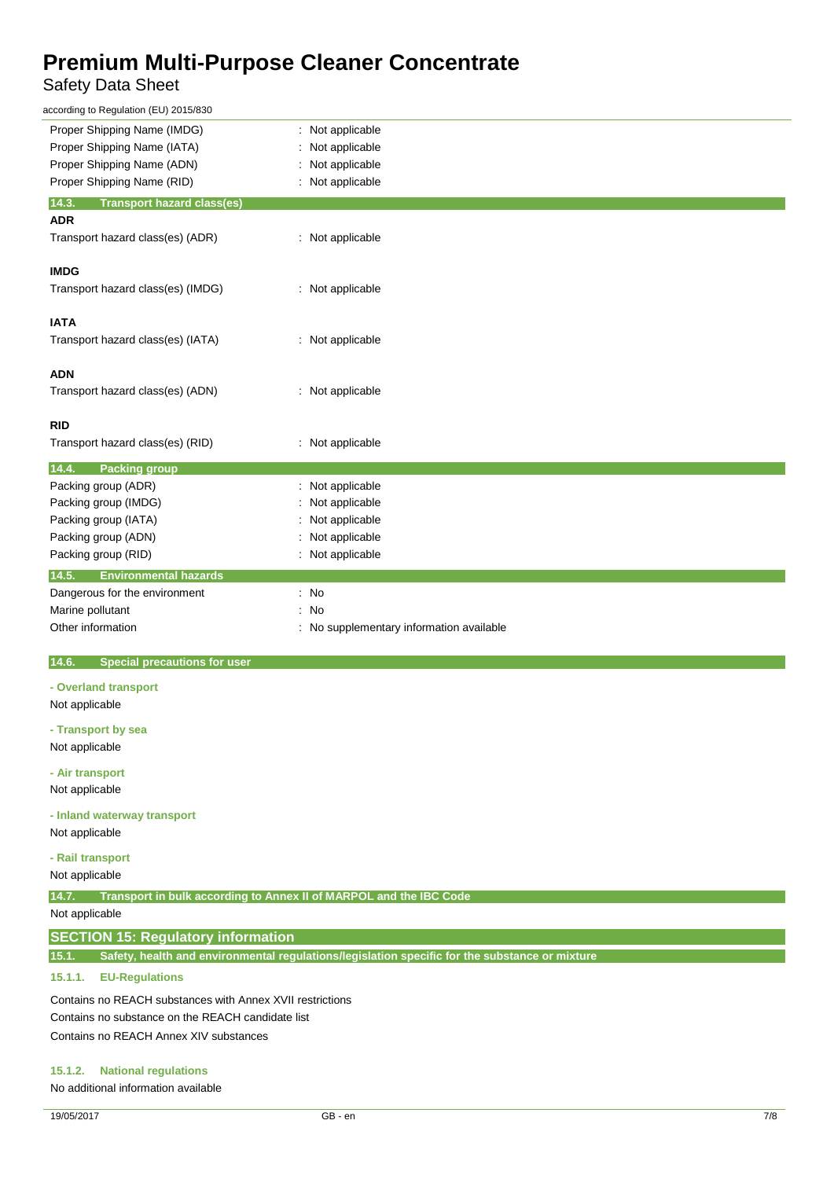## Safety Data Sheet

| according to Regulation (EU) 2015/830                                       |                                                                                                |
|-----------------------------------------------------------------------------|------------------------------------------------------------------------------------------------|
| Proper Shipping Name (IMDG)                                                 | : Not applicable                                                                               |
| Proper Shipping Name (IATA)                                                 | Not applicable                                                                                 |
| Proper Shipping Name (ADN)                                                  | Not applicable                                                                                 |
| Proper Shipping Name (RID)                                                  | Not applicable                                                                                 |
| 14.3.<br><b>Transport hazard class(es)</b>                                  |                                                                                                |
| ADR                                                                         |                                                                                                |
| Transport hazard class(es) (ADR)                                            | : Not applicable                                                                               |
|                                                                             |                                                                                                |
| <b>IMDG</b>                                                                 |                                                                                                |
| Transport hazard class(es) (IMDG)                                           | Not applicable<br>÷                                                                            |
|                                                                             |                                                                                                |
| <b>IATA</b>                                                                 |                                                                                                |
| Transport hazard class(es) (IATA)                                           | : Not applicable                                                                               |
|                                                                             |                                                                                                |
| <b>ADN</b>                                                                  |                                                                                                |
| Transport hazard class(es) (ADN)                                            | : Not applicable                                                                               |
|                                                                             |                                                                                                |
| RID                                                                         |                                                                                                |
| Transport hazard class(es) (RID)                                            | : Not applicable                                                                               |
|                                                                             |                                                                                                |
| 14.4.<br><b>Packing group</b>                                               |                                                                                                |
| Packing group (ADR)                                                         | Not applicable                                                                                 |
| Packing group (IMDG)                                                        | Not applicable                                                                                 |
| Packing group (IATA)                                                        | Not applicable                                                                                 |
| Packing group (ADN)                                                         | Not applicable                                                                                 |
| Packing group (RID)                                                         | Not applicable                                                                                 |
| 14.5.<br><b>Environmental hazards</b>                                       |                                                                                                |
| Dangerous for the environment                                               | : No                                                                                           |
| Marine pollutant                                                            | No<br>÷                                                                                        |
| Other information                                                           | No supplementary information available                                                         |
|                                                                             |                                                                                                |
| <b>Special precautions for user</b><br>14.6.                                |                                                                                                |
| - Overland transport                                                        |                                                                                                |
| Not applicable                                                              |                                                                                                |
|                                                                             |                                                                                                |
| - Transport by sea                                                          |                                                                                                |
| Not applicable                                                              |                                                                                                |
| - Air transport                                                             |                                                                                                |
| Not applicable                                                              |                                                                                                |
|                                                                             |                                                                                                |
| - Inland waterway transport                                                 |                                                                                                |
| Not applicable                                                              |                                                                                                |
|                                                                             |                                                                                                |
| - Rail transport                                                            |                                                                                                |
| Not applicable                                                              |                                                                                                |
| 14.7.<br>Transport in bulk according to Annex II of MARPOL and the IBC Code |                                                                                                |
| Not applicable                                                              |                                                                                                |
|                                                                             |                                                                                                |
| <b>SECTION 15: Regulatory information</b>                                   |                                                                                                |
|                                                                             |                                                                                                |
| 15.1.<br><b>EU-Regulations</b><br>15.1.1.                                   | Safety, health and environmental regulations/legislation specific for the substance or mixture |

Contains no REACH substances with Annex XVII restrictions Contains no substance on the REACH candidate list Contains no REACH Annex XIV substances

### **15.1.2. National regulations**

No additional information available